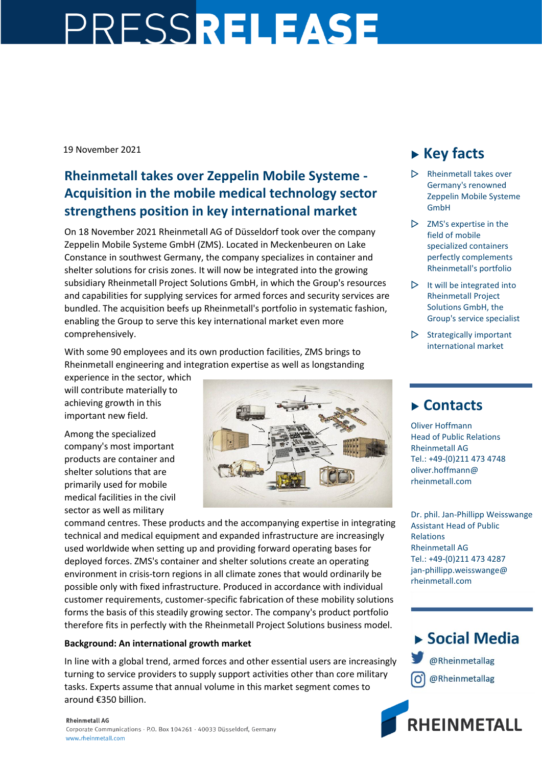# PRESSRELEASE

19 November 2021

### **Rheinmetall takes over Zeppelin Mobile Systeme - Acquisition in the mobile medical technology sector strengthens position in key international market**

On 18 November 2021 Rheinmetall AG of Düsseldorf took over the company Zeppelin Mobile Systeme GmbH (ZMS). Located in Meckenbeuren on Lake Constance in southwest Germany, the company specializes in container and shelter solutions for crisis zones. It will now be integrated into the growing subsidiary Rheinmetall Project Solutions GmbH, in which the Group's resources and capabilities for supplying services for armed forces and security services are bundled. The acquisition beefs up Rheinmetall's portfolio in systematic fashion, enabling the Group to serve this key international market even more comprehensively.

With some 90 employees and its own production facilities, ZMS brings to Rheinmetall engineering and integration expertise as well as longstanding

experience in the sector, which will contribute materially to achieving growth in this important new field.

Among the specialized company's most important products are container and shelter solutions that are primarily used for mobile medical facilities in the civil sector as well as military



command centres. These products and the accompanying expertise in integrating technical and medical equipment and expanded infrastructure are increasingly used worldwide when setting up and providing forward operating bases for deployed forces. ZMS's container and shelter solutions create an operating environment in crisis-torn regions in all climate zones that would ordinarily be possible only with fixed infrastructure. Produced in accordance with individual customer requirements, customer-specific fabrication of these mobility solutions forms the basis of this steadily growing sector. The company's product portfolio therefore fits in perfectly with the Rheinmetall Project Solutions business model.

#### **Background: An international growth market**

In line with a global trend, armed forces and other essential users are increasingly turning to service providers to supply support activities other than core military tasks. Experts assume that annual volume in this market segment comes to around €350 billion.

# **Key facts**

- Rheinmetall takes over Germany's renowned Zeppelin Mobile Systeme GmbH
- $\triangleright$  ZMS's expertise in the field of mobile specialized containers perfectly complements Rheinmetall's portfolio
- $\triangleright$  It will be integrated into Rheinmetall Project Solutions GmbH, the Group's service specialist
- $\triangleright$  Strategically important international market

## **Contacts**

Oliver Hoffmann Head of Public Relations Rheinmetall AG Tel.: +49-(0)211 473 4748 oliver.hoffmann@ rheinmetall.com

Dr. phil. Jan-Phillipp Weisswange Assistant Head of Public Relations Rheinmetall AG Tel.: +49-(0)211 473 4287 jan-phillipp.weisswange@ rheinmetall.com

▶ Social Media @Rheinmetallag @Rheinmetallag



www.rheinmetall.com